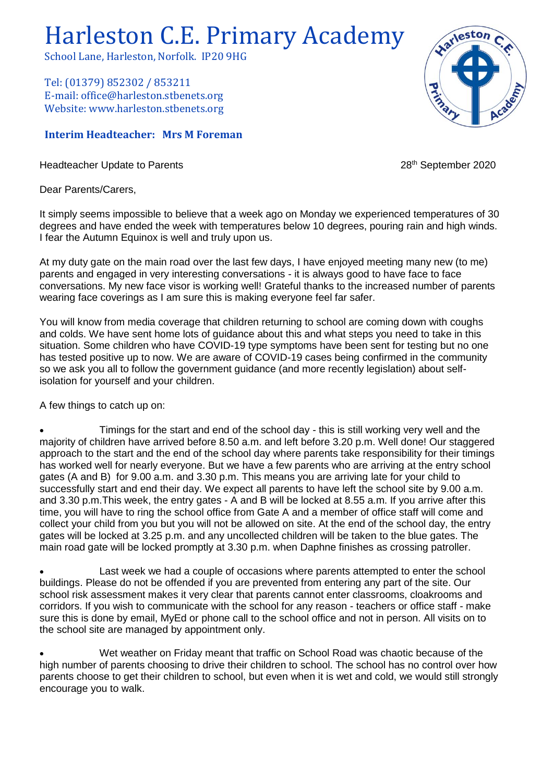## Harleston C.E. Primary Academy

School Lane, Harleston, Norfolk. IP20 9HG

Tel: (01379) 852302 / 853211 E-mail: office@harleston.stbenets.org Website: www.harleston.stbenets.org

## **Interim Headteacher: Mrs M Foreman**

Headteacher Update to Parents 2020 and the extended of the 2020 and 28<sup>th</sup> September 2020

Dear Parents/Carers,

It simply seems impossible to believe that a week ago on Monday we experienced temperatures of 30 degrees and have ended the week with temperatures below 10 degrees, pouring rain and high winds. I fear the Autumn Equinox is well and truly upon us.

At my duty gate on the main road over the last few days, I have enjoyed meeting many new (to me) parents and engaged in very interesting conversations - it is always good to have face to face conversations. My new face visor is working well! Grateful thanks to the increased number of parents wearing face coverings as I am sure this is making everyone feel far safer.

You will know from media coverage that children returning to school are coming down with coughs and colds. We have sent home lots of guidance about this and what steps you need to take in this situation. Some children who have COVID-19 type symptoms have been sent for testing but no one has tested positive up to now. We are aware of COVID-19 cases being confirmed in the community so we ask you all to follow the government guidance (and more recently legislation) about selfisolation for yourself and your children.

A few things to catch up on:

• Timings for the start and end of the school day - this is still working very well and the majority of children have arrived before 8.50 a.m. and left before 3.20 p.m. Well done! Our staggered approach to the start and the end of the school day where parents take responsibility for their timings has worked well for nearly everyone. But we have a few parents who are arriving at the entry school gates (A and B) for 9.00 a.m. and 3.30 p.m. This means you are arriving late for your child to successfully start and end their day. We expect all parents to have left the school site by 9.00 a.m. and 3.30 p.m.This week, the entry gates - A and B will be locked at 8.55 a.m. If you arrive after this time, you will have to ring the school office from Gate A and a member of office staff will come and collect your child from you but you will not be allowed on site. At the end of the school day, the entry gates will be locked at 3.25 p.m. and any uncollected children will be taken to the blue gates. The main road gate will be locked promptly at 3.30 p.m. when Daphne finishes as crossing patroller.

Last week we had a couple of occasions where parents attempted to enter the school buildings. Please do not be offended if you are prevented from entering any part of the site. Our school risk assessment makes it very clear that parents cannot enter classrooms, cloakrooms and corridors. If you wish to communicate with the school for any reason - teachers or office staff - make sure this is done by email, MyEd or phone call to the school office and not in person. All visits on to the school site are managed by appointment only.

• Wet weather on Friday meant that traffic on School Road was chaotic because of the high number of parents choosing to drive their children to school. The school has no control over how parents choose to get their children to school, but even when it is wet and cold, we would still strongly encourage you to walk.